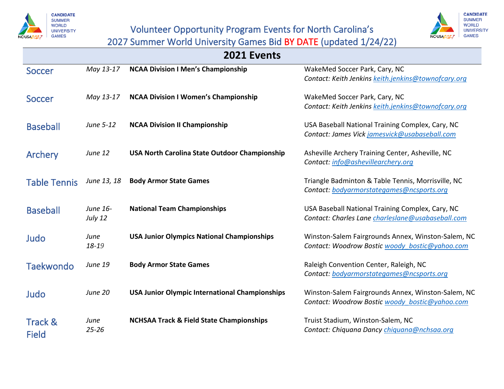

Volunteer Opportunity Program Events for North Carolina's



2027 Summer World University Games Bid BY DATE (updated 1/24/22)

|                     | 2021 Events |                                                       |                                                     |  |  |
|---------------------|-------------|-------------------------------------------------------|-----------------------------------------------------|--|--|
| <b>Soccer</b>       | May 13-17   | <b>NCAA Division I Men's Championship</b>             | WakeMed Soccer Park, Cary, NC                       |  |  |
|                     |             |                                                       | Contact: Keith Jenkins keith.jenkins@townofcary.org |  |  |
| Soccer              | May 13-17   | <b>NCAA Division I Women's Championship</b>           | WakeMed Soccer Park, Cary, NC                       |  |  |
|                     |             |                                                       | Contact: Keith Jenkins keith.jenkins@townofcary.org |  |  |
| <b>Baseball</b>     | June 5-12   | <b>NCAA Division II Championship</b>                  | USA Baseball National Training Complex, Cary, NC    |  |  |
|                     |             |                                                       | Contact: James Vick jamesvick@usabaseball.com       |  |  |
| Archery             | June 12     | <b>USA North Carolina State Outdoor Championship</b>  | Asheville Archery Training Center, Asheville, NC    |  |  |
|                     |             |                                                       | Contact: info@ashevillearchery.org                  |  |  |
| <b>Table Tennis</b> | June 13, 18 | <b>Body Armor State Games</b>                         | Triangle Badminton & Table Tennis, Morrisville, NC  |  |  |
|                     |             |                                                       | Contact: bodyarmorstategames@ncsports.org           |  |  |
| <b>Baseball</b>     | June 16-    | <b>National Team Championships</b>                    | USA Baseball National Training Complex, Cary, NC    |  |  |
|                     | July 12     |                                                       | Contact: Charles Lane charleslane@usabaseball.com   |  |  |
| Judo                | June        | <b>USA Junior Olympics National Championships</b>     | Winston-Salem Fairgrounds Annex, Winston-Salem, NC  |  |  |
|                     | 18-19       |                                                       | Contact: Woodrow Bostic woody bostic@yahoo.com      |  |  |
| <b>Taekwondo</b>    | June 19     | <b>Body Armor State Games</b>                         | Raleigh Convention Center, Raleigh, NC              |  |  |
|                     |             |                                                       | Contact: bodyarmorstategames@ncsports.org           |  |  |
| Judo                | June 20     | <b>USA Junior Olympic International Championships</b> | Winston-Salem Fairgrounds Annex, Winston-Salem, NC  |  |  |
|                     |             |                                                       | Contact: Woodrow Bostic woody bostic@yahoo.com      |  |  |
| <b>Track &amp;</b>  | June        | <b>NCHSAA Track &amp; Field State Championships</b>   | Truist Stadium, Winston-Salem, NC                   |  |  |
| Field               | $25 - 26$   |                                                       | Contact: Chiquana Dancy chiquana@nchsaa.org         |  |  |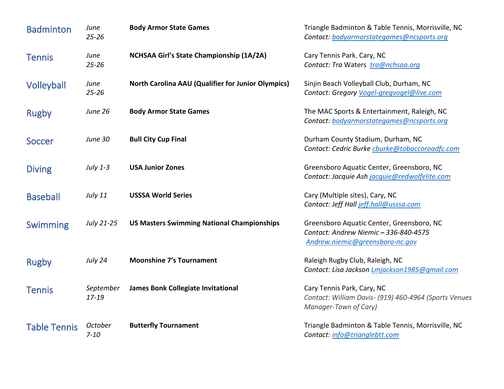| <b>Badminton</b>    | June<br>$25 - 26$   | <b>Body Armor State Games</b>                             | Triangle Badminton & Table Tennis, Morrisville, NC<br>Contact: bodyarmorstategames@ncsports.org                       |
|---------------------|---------------------|-----------------------------------------------------------|-----------------------------------------------------------------------------------------------------------------------|
| <b>Tennis</b>       | June<br>$25 - 26$   | NCHSAA Girl's State Championship (1A/2A)                  | Cary Tennis Park, Cary, NC<br>Contact: Tra Waters tra@nchsaa.org                                                      |
| <b>Volleyball</b>   | June<br>$25 - 26$   | <b>North Carolina AAU (Qualifier for Junior Olympics)</b> | Sinjin Beach Volleyball Club, Durham, NC<br>Contact: Gregory Vogel-gregvogel@live.com                                 |
| <b>Rugby</b>        | June 26             | <b>Body Armor State Games</b>                             | The MAC Sports & Entertainment, Raleigh, NC<br>Contact: bodyarmorstategames@ncsports.org                              |
| Soccer              | June 30             | <b>Bull City Cup Final</b>                                | Durham County Stadium, Durham, NC<br>Contact: Cedric Burke cburke@tobaccoroadfc.com                                   |
| <b>Diving</b>       | July 1-3            | <b>USA Junior Zones</b>                                   | Greensboro Aquatic Center, Greensboro, NC<br>Contact: Jacquie Ash jacquie@redwolfelite.com                            |
| <b>Baseball</b>     | <b>July 11</b>      | <b>USSSA World Series</b>                                 | Cary (Multiple sites), Cary, NC<br>Contact: Jeff Hall jeff.hall@usssa.com                                             |
| <b>Swimming</b>     | July 21-25          | <b>US Masters Swimming National Championships</b>         | Greensboro Aquatic Center, Greensboro, NC<br>Contact: Andrew Niemic - 336-840-4575<br>Andrew.niemic@greensboro-nc.gov |
| <b>Rugby</b>        | July 24             | <b>Moonshine 7's Tournament</b>                           | Raleigh Rugby Club, Raleigh, NC<br>Contact: Lisa Jackson <i>Lmjackson1985@gmail.com</i>                               |
| <b>Tennis</b>       | September<br>17-19  | <b>James Bonk Collegiate Invitational</b>                 | Cary Tennis Park, Cary, NC<br>Contact: William Davis- (919) 460-4964 (Sports Venues<br>Manager-Town of Cary)          |
| <b>Table Tennis</b> | October<br>$7 - 10$ | <b>Butterfly Tournament</b>                               | Triangle Badminton & Table Tennis, Morrisville, NC<br>Contact: info@trianglebtt.com                                   |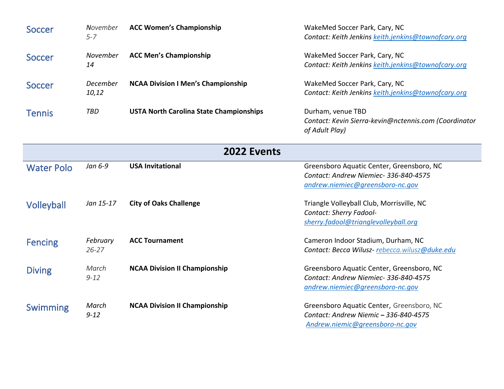| Soccer        | November<br>$5 - 7$ | <b>ACC Women's Championship</b>                | WakeMed Soccer Park, Cary, NC<br>Contact: Keith Jenkins keith.jenkins@townofcary.org         |
|---------------|---------------------|------------------------------------------------|----------------------------------------------------------------------------------------------|
| Soccer        | November<br>14      | <b>ACC Men's Championship</b>                  | WakeMed Soccer Park, Cary, NC<br>Contact: Keith Jenkins keith.jenkins@townofcary.org         |
| <b>Soccer</b> | December<br>10,12   | <b>NCAA Division I Men's Championship</b>      | WakeMed Soccer Park, Cary, NC<br>Contact: Keith Jenkins keith.jenkins@townofcary.org         |
| <b>Tennis</b> | TBD                 | <b>USTA North Carolina State Championships</b> | Durham, venue TBD<br>Contact: Kevin Sierra-kevin@nctennis.com (Coordinator<br>of Adult Play) |

|                   | 2022 Events           |                                      |                                                                                                                        |  |  |
|-------------------|-----------------------|--------------------------------------|------------------------------------------------------------------------------------------------------------------------|--|--|
| <b>Water Polo</b> | Jan 6-9               | <b>USA Invitational</b>              | Greensboro Aquatic Center, Greensboro, NC<br>Contact: Andrew Niemiec- 336-840-4575<br>andrew.niemiec@greensboro-nc.gov |  |  |
| <b>Volleyball</b> | Jan 15-17             | <b>City of Oaks Challenge</b>        | Triangle Volleyball Club, Morrisville, NC<br>Contact: Sherry Fadool-<br>sherry.fadool@trianglevolleyball.org           |  |  |
| Fencing           | February<br>$26 - 27$ | <b>ACC Tournament</b>                | Cameron Indoor Stadium, Durham, NC<br>Contact: Becca Wilusz-rebecca.wilusz@duke.edu                                    |  |  |
| <b>Diving</b>     | March<br>$9 - 12$     | <b>NCAA Division II Championship</b> | Greensboro Aquatic Center, Greensboro, NC<br>Contact: Andrew Niemiec- 336-840-4575<br>andrew.niemiec@greensboro-nc.gov |  |  |
| <b>Swimming</b>   | March<br>$9 - 12$     | <b>NCAA Division II Championship</b> | Greensboro Aquatic Center, Greensboro, NC<br>Contact: Andrew Niemic - 336-840-4575<br>Andrew.niemic@greensboro-nc.gov  |  |  |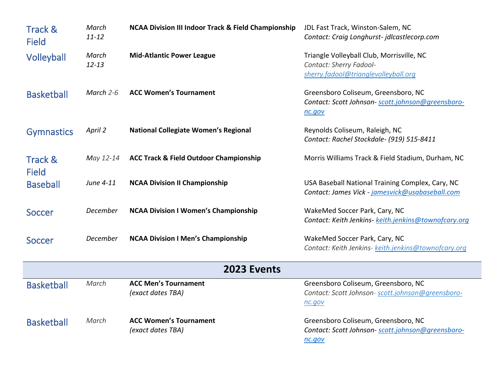| <b>Track &amp;</b><br><b>Field</b> | March<br>$11 - 12$ | <b>NCAA Division III Indoor Track &amp; Field Championship</b> | JDL Fast Track, Winston-Salem, NC<br>Contact: Craig Longhurst-jdlcastlecorp.com                              |
|------------------------------------|--------------------|----------------------------------------------------------------|--------------------------------------------------------------------------------------------------------------|
| Volleyball                         | March<br>$12 - 13$ | <b>Mid-Atlantic Power League</b>                               | Triangle Volleyball Club, Morrisville, NC<br>Contact: Sherry Fadool-<br>sherry.fadool@trianglevolleyball.org |
| <b>Basketball</b>                  | March $2-6$        | <b>ACC Women's Tournament</b>                                  | Greensboro Coliseum, Greensboro, NC<br>Contact: Scott Johnson- scott.johnson@greensboro-<br>nc.gov           |
| <b>Gymnastics</b>                  | April 2            | <b>National Collegiate Women's Regional</b>                    | Reynolds Coliseum, Raleigh, NC<br>Contact: Rachel Stockdale- (919) 515-8411                                  |
| <b>Track &amp;</b><br><b>Field</b> | May 12-14          | <b>ACC Track &amp; Field Outdoor Championship</b>              | Morris Williams Track & Field Stadium, Durham, NC                                                            |
| <b>Baseball</b>                    | June 4-11          | <b>NCAA Division II Championship</b>                           | USA Baseball National Training Complex, Cary, NC<br>Contact: James Vick - jamesvick@usabaseball.com          |
| <b>Soccer</b>                      | December           | <b>NCAA Division I Women's Championship</b>                    | WakeMed Soccer Park, Cary, NC<br>Contact: Keith Jenkins- keith.jenkins@townofcary.org                        |
| <b>Soccer</b>                      | December           | <b>NCAA Division I Men's Championship</b>                      | WakeMed Soccer Park, Cary, NC<br>Contact: Keith Jenkins- keith.jenkins@townofcary.org                        |
|                                    |                    | 2023 Events                                                    |                                                                                                              |

| 2023 Events       |       |                                                    |                                                                                                    |
|-------------------|-------|----------------------------------------------------|----------------------------------------------------------------------------------------------------|
| <b>Basketball</b> | March | <b>ACC Men's Tournament</b><br>(exact dates TBA)   | Greensboro Coliseum, Greensboro, NC<br>Contact: Scott Johnson- scott.johnson@greensboro-<br>nc.gov |
| <b>Basketball</b> | March | <b>ACC Women's Tournament</b><br>(exact dates TBA) | Greensboro Coliseum, Greensboro, NC<br>Contact: Scott Johnson- scott.johnson@greensboro-<br>nc.gov |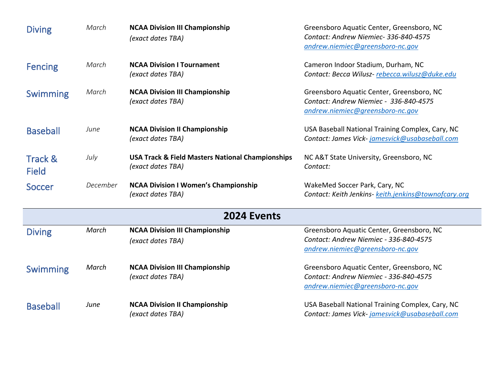| <b>Diving</b>                      | March    | <b>NCAA Division III Championship</b><br>(exact dates TBA)                       | Greensboro Aquatic Center, Greensboro, NC<br>Contact: Andrew Niemiec- 336-840-4575<br>andrew.niemiec@greensboro-nc.gov  |
|------------------------------------|----------|----------------------------------------------------------------------------------|-------------------------------------------------------------------------------------------------------------------------|
| <b>Fencing</b>                     | March    | <b>NCAA Division I Tournament</b><br>(exact dates TBA)                           | Cameron Indoor Stadium, Durham, NC<br>Contact: Becca Wilusz-rebecca.wilusz@duke.edu                                     |
| Swimming                           | March    | <b>NCAA Division III Championship</b><br>(exact dates TBA)                       | Greensboro Aquatic Center, Greensboro, NC<br>Contact: Andrew Niemiec - 336-840-4575<br>andrew.niemiec@greensboro-nc.gov |
| <b>Baseball</b>                    | June     | <b>NCAA Division II Championship</b><br>(exact dates TBA)                        | USA Baseball National Training Complex, Cary, NC<br>Contact: James Vick-jamesvick@usabaseball.com                       |
| <b>Track &amp;</b><br><b>Field</b> | July     | <b>USA Track &amp; Field Masters National Championships</b><br>(exact dates TBA) | NC A&T State University, Greensboro, NC<br>Contact:                                                                     |
| <b>Soccer</b>                      | December | <b>NCAA Division I Women's Championship</b><br>(exact dates TBA)                 | WakeMed Soccer Park, Cary, NC<br>Contact: Keith Jenkins- keith.jenkins@townofcary.org                                   |
|                                    |          | 2024 Events                                                                      |                                                                                                                         |
| <b>Diving</b>                      | March    | <b>NCAA Division III Championship</b><br>(exact dates TBA)                       | Greensboro Aquatic Center, Greensboro, NC<br>Contact: Andrew Niemiec - 336-840-4575<br>andrew.niemiec@greensboro-nc.gov |
| Swimming                           | March    | <b>NCAA Division III Championship</b><br>(exact dates TBA)                       | Greensboro Aquatic Center, Greensboro, NC<br>Contact: Andrew Niemiec - 336-840-4575<br>andrew.niemiec@greensboro-nc.gov |
| <b>Baseball</b>                    | June     | <b>NCAA Division II Championship</b><br>(exact dates TBA)                        | USA Baseball National Training Complex, Cary, NC<br>Contact: James Vick-jamesvick@usabaseball.com                       |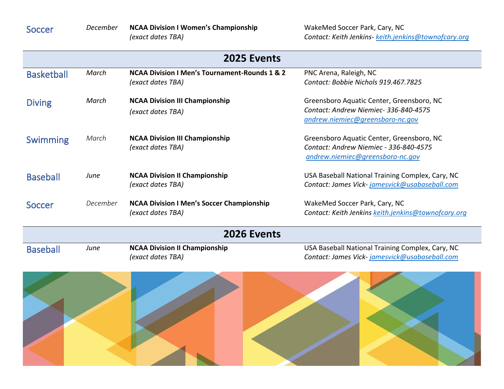Soccer

*December* **NCAA Division I Women's Championship** *(exact dates TBA)*

WakeMed Soccer Park, Cary, NC *Contact: Keith Jenkins- [keith.jenkins@townofcary.org](about:blank)*

| 2025 Events       |          |                                                          |                                                     |  |
|-------------------|----------|----------------------------------------------------------|-----------------------------------------------------|--|
| <b>Basketball</b> | March    | <b>NCAA Division I Men's Tournament-Rounds 1 &amp; 2</b> | PNC Arena, Raleigh, NC                              |  |
|                   |          | (exact dates TBA)                                        | Contact: Bobbie Nichols 919.467.7825                |  |
| <b>Diving</b>     | March    | <b>NCAA Division III Championship</b>                    | Greensboro Aquatic Center, Greensboro, NC           |  |
|                   |          | (exact dates TBA)                                        | Contact: Andrew Niemiec- 336-840-4575               |  |
|                   |          |                                                          | andrew.niemiec@greensboro-nc.gov                    |  |
| Swimming          | March    | <b>NCAA Division III Championship</b>                    | Greensboro Aquatic Center, Greensboro, NC           |  |
|                   |          | (exact dates TBA)                                        | Contact: Andrew Niemiec - 336-840-4575              |  |
|                   |          |                                                          | andrew.niemiec@greensboro-nc.gov                    |  |
| <b>Baseball</b>   | June     | <b>NCAA Division II Championship</b>                     | USA Baseball National Training Complex, Cary, NC    |  |
|                   |          | (exact dates TBA)                                        | Contact: James Vick-jamesvick@usabaseball.com       |  |
| Soccer            | December | <b>NCAA Division I Men's Soccer Championship</b>         | WakeMed Soccer Park, Cary, NC                       |  |
|                   |          | (exact dates TBA)                                        | Contact: Keith Jenkins keith.jenkins@townofcary.org |  |
|                   |          | 2026 Events                                              |                                                     |  |
| <b>Baseball</b>   | June     | <b>NCAA Division II Championship</b>                     | USA Baseball National Training Complex, Cary, NC    |  |
|                   |          | (exact dates TBA)                                        | Contact: James Vick-jamesvick@usabaseball.com       |  |

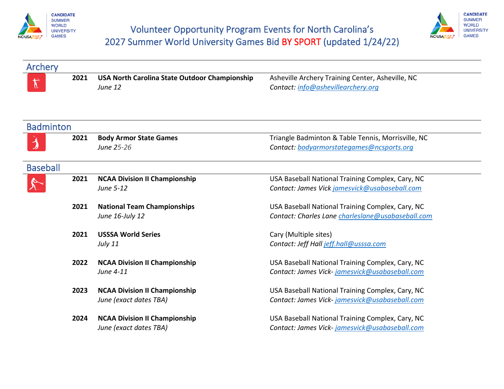



| Archery          |      |                                                      |                                                    |
|------------------|------|------------------------------------------------------|----------------------------------------------------|
|                  | 2021 | <b>USA North Carolina State Outdoor Championship</b> | Asheville Archery Training Center, Asheville, NC   |
| $\mathcal{L}$    |      | June 12                                              | Contact: info@ashevillearchery.org                 |
|                  |      |                                                      |                                                    |
|                  |      |                                                      |                                                    |
| <b>Badminton</b> |      |                                                      |                                                    |
|                  |      |                                                      |                                                    |
|                  | 2021 | <b>Body Armor State Games</b>                        | Triangle Badminton & Table Tennis, Morrisville, NC |
|                  |      | June 25-26                                           | Contact: bodyarmorstategames@ncsports.org          |
| <b>Baseball</b>  |      |                                                      |                                                    |
|                  | 2021 | <b>NCAA Division II Championship</b>                 | USA Baseball National Training Complex, Cary, NC   |
|                  |      | June 5-12                                            | Contact: James Vick jamesvick@usabaseball.com      |
|                  |      |                                                      |                                                    |
|                  | 2021 | <b>National Team Championships</b>                   | USA Baseball National Training Complex, Cary, NC   |
|                  |      | June 16-July 12                                      | Contact: Charles Lane charleslane@usabaseball.com  |
|                  |      |                                                      |                                                    |
|                  | 2021 | <b>USSSA World Series</b>                            | Cary (Multiple sites)                              |
|                  |      | <b>July 11</b>                                       | Contact: Jeff Hall jeff.hall@usssa.com             |
|                  | 2022 | <b>NCAA Division II Championship</b>                 | USA Baseball National Training Complex, Cary, NC   |
|                  |      | June 4-11                                            | Contact: James Vick-jamesvick@usabaseball.com      |
|                  |      |                                                      |                                                    |
|                  | 2023 | <b>NCAA Division II Championship</b>                 | USA Baseball National Training Complex, Cary, NC   |
|                  |      | June (exact dates TBA)                               | Contact: James Vick-jamesvick@usabaseball.com      |
|                  |      |                                                      |                                                    |
|                  | 2024 | <b>NCAA Division II Championship</b>                 | USA Baseball National Training Complex, Cary, NC   |
|                  |      | June (exact dates TBA)                               | Contact: James Vick-jamesvick@usabaseball.com      |
|                  |      |                                                      |                                                    |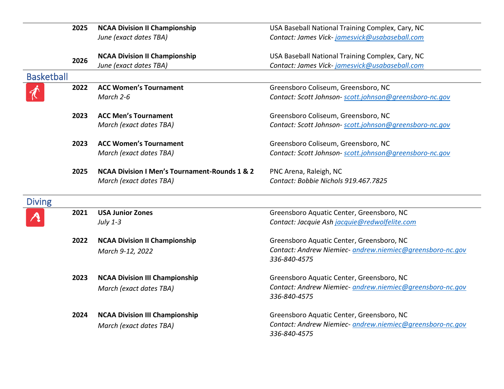|                   | 2025 | <b>NCAA Division II Championship</b>          | USA Baseball National Training Complex, Cary, NC          |
|-------------------|------|-----------------------------------------------|-----------------------------------------------------------|
|                   |      | June (exact dates TBA)                        | Contact: James Vick-jamesvick@usabaseball.com             |
|                   |      |                                               |                                                           |
|                   | 2026 | <b>NCAA Division II Championship</b>          | USA Baseball National Training Complex, Cary, NC          |
|                   |      | June (exact dates TBA)                        | Contact: James Vick-jamesvick@usabaseball.com             |
| <b>Basketball</b> |      |                                               |                                                           |
|                   | 2022 | <b>ACC Women's Tournament</b>                 | Greensboro Coliseum, Greensboro, NC                       |
|                   |      | March 2-6                                     | Contact: Scott Johnson-scott.johnson@greensboro-nc.gov    |
|                   | 2023 | <b>ACC Men's Tournament</b>                   | Greensboro Coliseum, Greensboro, NC                       |
|                   |      | March (exact dates TBA)                       | Contact: Scott Johnson- scott.johnson@greensboro-nc.gov   |
|                   | 2023 | <b>ACC Women's Tournament</b>                 | Greensboro Coliseum, Greensboro, NC                       |
|                   |      | March (exact dates TBA)                       | Contact: Scott Johnson-scott.johnson@greensboro-nc.gov    |
|                   | 2025 | NCAA Division I Men's Tournament-Rounds 1 & 2 | PNC Arena, Raleigh, NC                                    |
|                   |      | March (exact dates TBA)                       | Contact: Bobbie Nichols 919.467.7825                      |
| <b>Diving</b>     |      |                                               |                                                           |
|                   | 2021 | <b>USA Junior Zones</b>                       | Greensboro Aquatic Center, Greensboro, NC                 |
|                   |      | July 1-3                                      | Contact: Jacquie Ash jacquie@redwolfelite.com             |
|                   | 2022 | <b>NCAA Division II Championship</b>          | Greensboro Aquatic Center, Greensboro, NC                 |
|                   |      | March 9-12, 2022                              | Contact: Andrew Niemiec- andrew.niemiec@greensboro-nc.gov |
|                   |      |                                               | 336-840-4575                                              |
|                   | 2023 | <b>NCAA Division III Championship</b>         | Greensboro Aquatic Center, Greensboro, NC                 |
|                   |      | March (exact dates TBA)                       | Contact: Andrew Niemiec- andrew.niemiec@greensboro-nc.gov |
|                   |      |                                               | 336-840-4575                                              |
|                   | 2024 | <b>NCAA Division III Championship</b>         | Greensboro Aquatic Center, Greensboro, NC                 |
|                   |      | March (exact dates TBA)                       | Contact: Andrew Niemiec- andrew.niemiec@greensboro-nc.gov |
|                   |      |                                               | 336-840-4575                                              |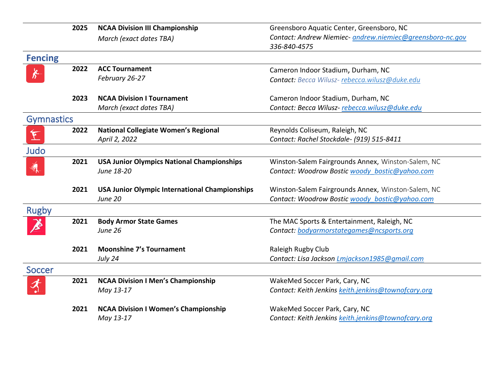|                   | 2025 | <b>NCAA Division III Championship</b>                 | Greensboro Aquatic Center, Greensboro, NC                 |
|-------------------|------|-------------------------------------------------------|-----------------------------------------------------------|
|                   |      | March (exact dates TBA)                               | Contact: Andrew Niemiec- andrew.niemiec@greensboro-nc.gov |
|                   |      |                                                       | 336-840-4575                                              |
| <b>Fencing</b>    |      |                                                       |                                                           |
| $\lambda$         | 2022 | <b>ACC Tournament</b>                                 | Cameron Indoor Stadium, Durham, NC                        |
|                   |      | February 26-27                                        | Contact: Becca Wilusz-rebecca.wilusz@duke.edu             |
|                   | 2023 | <b>NCAA Division I Tournament</b>                     | Cameron Indoor Stadium, Durham, NC                        |
|                   |      | March (exact dates TBA)                               | Contact: Becca Wilusz-rebecca.wilusz@duke.edu             |
| <b>Gymnastics</b> |      |                                                       |                                                           |
|                   | 2022 | <b>National Collegiate Women's Regional</b>           | Reynolds Coliseum, Raleigh, NC                            |
| $\mathbf{F}$      |      | April 2, 2022                                         | Contact: Rachel Stockdale- (919) 515-8411                 |
| Judo              |      |                                                       |                                                           |
|                   | 2021 | <b>USA Junior Olympics National Championships</b>     | Winston-Salem Fairgrounds Annex, Winston-Salem, NC        |
|                   |      | June 18-20                                            | Contact: Woodrow Bostic woody bostic@yahoo.com            |
|                   |      |                                                       |                                                           |
|                   | 2021 | <b>USA Junior Olympic International Championships</b> | Winston-Salem Fairgrounds Annex, Winston-Salem, NC        |
|                   |      | June 20                                               | Contact: Woodrow Bostic woody bostic@yahoo.com            |
| <b>Rugby</b>      |      |                                                       |                                                           |
|                   | 2021 | <b>Body Armor State Games</b>                         | The MAC Sports & Entertainment, Raleigh, NC               |
|                   |      | June 26                                               | Contact: bodyarmorstategames@ncsports.org                 |
|                   |      |                                                       |                                                           |
|                   | 2021 | <b>Moonshine 7's Tournament</b>                       | Raleigh Rugby Club                                        |
|                   |      | July 24                                               | Contact: Lisa Jackson Lmjackson1985@gmail.com             |
| Soccer            |      |                                                       |                                                           |
|                   | 2021 | <b>NCAA Division I Men's Championship</b>             | WakeMed Soccer Park, Cary, NC                             |
|                   |      | May 13-17                                             | Contact: Keith Jenkins keith.jenkins@townofcary.org       |
|                   | 2021 | <b>NCAA Division I Women's Championship</b>           | WakeMed Soccer Park, Cary, NC                             |
|                   |      | May 13-17                                             | Contact: Keith Jenkins keith.jenkins@townofcary.org       |
|                   |      |                                                       |                                                           |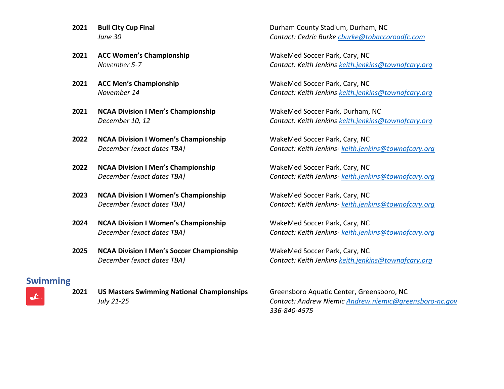- **2021 Bull City Cup Final** *June 30*
- **2021 ACC Women's Championship** *November 5-7*
- **2021 ACC Men's Championship** *November 14*
- **2021 NCAA Division I Men's Championship** *December 10, 12*
- **2022 NCAA Division I Women's Championship** *December (exact dates TBA)*
- **2022 NCAA Division I Men's Championship** *December (exact dates TBA)*
- **2023 NCAA Division I Women's Championship** *December (exact dates TBA)*
- **2024 NCAA Division I Women's Championship** *December (exact dates TBA)*
- **2025 NCAA Division I Men's Soccer Championship** *December (exact dates TBA)*

Durham County Stadium, Durham, NC *Contact: Cedric Burke [cburke@tobaccoroadfc.com](about:blank)*

WakeMed Soccer Park, Cary, NC *Contact: Keith Jenkins [keith.jenkins@townofcary.org](about:blank)*

WakeMed Soccer Park, Cary, NC *Contact: Keith Jenkins [keith.jenkins@townofcary.org](about:blank)*

WakeMed Soccer Park, Durham, NC *Contact: Keith Jenkins [keith.jenkins@townofcary.org](about:blank)*

WakeMed Soccer Park, Cary, NC *Contact: Keith Jenkins- [keith.jenkins@townofcary.org](about:blank)*

WakeMed Soccer Park, Cary, NC *Contact: Keith Jenkins- [keith.jenkins@townofcary.org](about:blank)*

WakeMed Soccer Park, Cary, NC *Contact: Keith Jenkins- [keith.jenkins@townofcary.org](about:blank)*

WakeMed Soccer Park, Cary, NC *Contact: Keith Jenkins- [keith.jenkins@townofcary.org](about:blank)*

WakeMed Soccer Park, Cary, NC *Contact: Keith Jenkins [keith.jenkins@townofcary.org](about:blank)*

## **Swimming**



**2021 US Masters Swimming National Championships** *July 21-25*

Greensboro Aquatic Center, Greensboro, NC *Contact: Andrew Niemic [Andrew.niemic@greensboro-nc.gov](about:blank) 336-840-4575*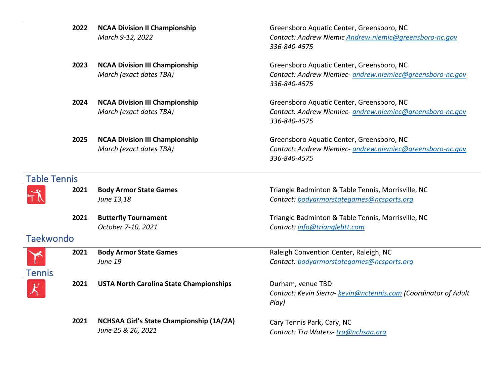|                     | 2022 | <b>NCAA Division II Championship</b>            | Greensboro Aquatic Center, Greensboro, NC                       |
|---------------------|------|-------------------------------------------------|-----------------------------------------------------------------|
|                     |      | March 9-12, 2022                                | Contact: Andrew Niemic Andrew.niemic@greensboro-nc.gov          |
|                     |      |                                                 | 336-840-4575                                                    |
|                     |      |                                                 |                                                                 |
|                     | 2023 | <b>NCAA Division III Championship</b>           | Greensboro Aquatic Center, Greensboro, NC                       |
|                     |      | March (exact dates TBA)                         | Contact: Andrew Niemiec- andrew.niemiec@greensboro-nc.gov       |
|                     |      |                                                 | 336-840-4575                                                    |
|                     |      |                                                 |                                                                 |
|                     | 2024 | <b>NCAA Division III Championship</b>           | Greensboro Aquatic Center, Greensboro, NC                       |
|                     |      | March (exact dates TBA)                         | Contact: Andrew Niemiec- andrew.niemiec@greensboro-nc.gov       |
|                     |      |                                                 | 336-840-4575                                                    |
|                     | 2025 | <b>NCAA Division III Championship</b>           | Greensboro Aquatic Center, Greensboro, NC                       |
|                     |      | March (exact dates TBA)                         | Contact: Andrew Niemiec- andrew.niemiec@greensboro-nc.gov       |
|                     |      |                                                 | 336-840-4575                                                    |
|                     |      |                                                 |                                                                 |
| <b>Table Tennis</b> |      |                                                 |                                                                 |
|                     | 2021 | <b>Body Armor State Games</b>                   | Triangle Badminton & Table Tennis, Morrisville, NC              |
|                     |      | June 13,18                                      | Contact: bodyarmorstategames@ncsports.org                       |
|                     |      |                                                 |                                                                 |
|                     | 2021 | <b>Butterfly Tournament</b>                     | Triangle Badminton & Table Tennis, Morrisville, NC              |
|                     |      | October 7-10, 2021                              | Contact: info@trianglebtt.com                                   |
| <b>Taekwondo</b>    |      |                                                 |                                                                 |
|                     | 2021 | <b>Body Armor State Games</b>                   | Raleigh Convention Center, Raleigh, NC                          |
|                     |      | June 19                                         | Contact: bodyarmorstategames@ncsports.org                       |
| Tennis              |      |                                                 |                                                                 |
|                     | 2021 | <b>USTA North Carolina State Championships</b>  | Durham, venue TBD                                               |
|                     |      |                                                 | Contact: Kevin Sierra- kevin@nctennis.com (Coordinator of Adult |
|                     |      |                                                 | Play)                                                           |
|                     |      |                                                 |                                                                 |
|                     | 2021 | <b>NCHSAA Girl's State Championship (1A/2A)</b> | Cary Tennis Park, Cary, NC                                      |
|                     |      | June 25 & 26, 2021                              | Contact: Tra Waters-tra@nchsaa.org                              |